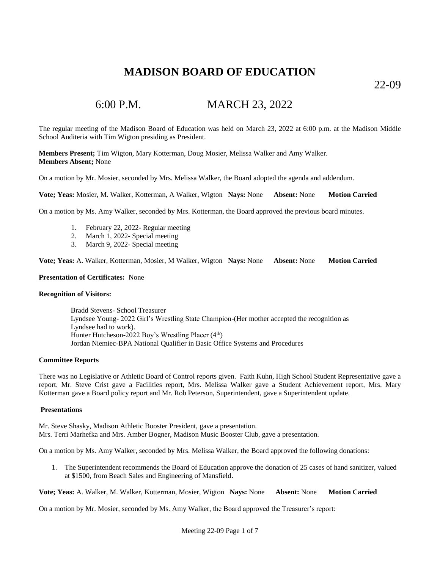22-09

# 6:00 P.M. MARCH 23, 2022

The regular meeting of the Madison Board of Education was held on March 23, 2022 at 6:00 p.m. at the Madison Middle School Auditeria with Tim Wigton presiding as President.

**Members Present;** Tim Wigton, Mary Kotterman, Doug Mosier, Melissa Walker and Amy Walker. **Members Absent;** None

On a motion by Mr. Mosier, seconded by Mrs. Melissa Walker, the Board adopted the agenda and addendum.

**Vote; Yeas:** Mosier, M. Walker, Kotterman, A Walker, Wigton **Nays:** None **Absent:** None **Motion Carried**

On a motion by Ms. Amy Walker, seconded by Mrs. Kotterman, the Board approved the previous board minutes.

- 1. February 22, 2022- Regular meeting
- 2. March 1, 2022- Special meeting
- 3. March 9, 2022- Special meeting

**Vote; Yeas:** A. Walker, Kotterman, Mosier, M Walker, Wigton **Nays:** None **Absent:** None **Motion Carried**

### **Presentation of Certificates:** None

### **Recognition of Visitors:**

Bradd Stevens- School Treasurer Lyndsee Young- 2022 Girl's Wrestling State Champion-(Her mother accepted the recognition as Lyndsee had to work). Hunter Hutcheson-2022 Boy's Wrestling Placer  $(4<sup>th</sup>)$ Jordan Niemiec-BPA National Qualifier in Basic Office Systems and Procedures

### **Committee Reports**

There was no Legislative or Athletic Board of Control reports given. Faith Kuhn, High School Student Representative gave a report. Mr. Steve Crist gave a Facilities report, Mrs. Melissa Walker gave a Student Achievement report, Mrs. Mary Kotterman gave a Board policy report and Mr. Rob Peterson, Superintendent, gave a Superintendent update.

### **Presentations**

Mr. Steve Shasky, Madison Athletic Booster President, gave a presentation. Mrs. Terri Marhefka and Mrs. Amber Bogner, Madison Music Booster Club, gave a presentation.

On a motion by Ms. Amy Walker, seconded by Mrs. Melissa Walker, the Board approved the following donations:

1. The Superintendent recommends the Board of Education approve the donation of 25 cases of hand sanitizer, valued at \$1500, from Beach Sales and Engineering of Mansfield.

**Vote; Yeas:** A. Walker, M. Walker, Kotterman, Mosier, Wigton **Nays:** None **Absent:** None **Motion Carried**

On a motion by Mr. Mosier, seconded by Ms. Amy Walker, the Board approved the Treasurer's report: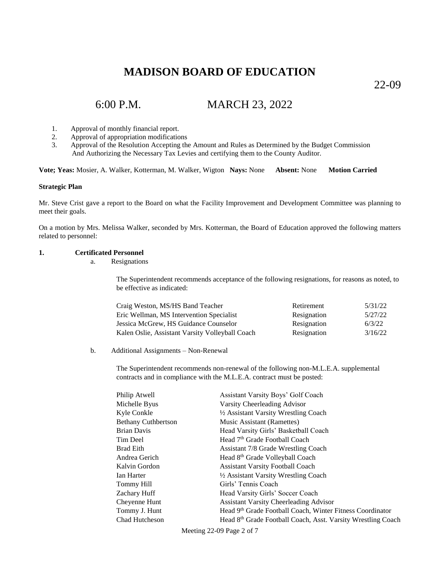22-09

# 6:00 P.M. MARCH 23, 2022

- 1. Approval of monthly financial report.
- 2. Approval of appropriation modifications
- 3. Approval of the Resolution Accepting the Amount and Rules as Determined by the Budget Commission And Authorizing the Necessary Tax Levies and certifying them to the County Auditor.

**Vote; Yeas:** Mosier, A. Walker, Kotterman, M. Walker, Wigton **Nays:** None **Absent:** None **Motion Carried**

### **Strategic Plan**

Mr. Steve Crist gave a report to the Board on what the Facility Improvement and Development Committee was planning to meet their goals.

On a motion by Mrs. Melissa Walker, seconded by Mrs. Kotterman, the Board of Education approved the following matters related to personnel:

### **1. Certificated Personnel**

a. Resignations

The Superintendent recommends acceptance of the following resignations, for reasons as noted, to be effective as indicated:

| Craig Weston, MS/HS Band Teacher                | Retirement  | 5/31/22 |
|-------------------------------------------------|-------------|---------|
| Eric Wellman, MS Intervention Specialist        | Resignation | 5/27/22 |
| Jessica McGrew, HS Guidance Counselor           | Resignation | 6/3/22  |
| Kalen Oslie, Assistant Varsity Volleyball Coach | Resignation | 3/16/22 |

#### b. Additional Assignments – Non-Renewal

The Superintendent recommends non-renewal of the following non-M.L.E.A. supplemental contracts and in compliance with the M.L.E.A. contract must be posted:

| Philip Atwell              | Assistant Varsity Boys' Golf Coach                           |
|----------------------------|--------------------------------------------------------------|
| Michelle Byus              | Varsity Cheerleading Advisor                                 |
| Kyle Conkle                | 1/2 Assistant Varsity Wrestling Coach                        |
| <b>Bethany Cuthbertson</b> | Music Assistant (Ramettes)                                   |
| Brian Davis                | Head Varsity Girls' Basketball Coach                         |
| Tim Deel                   | Head 7 <sup>th</sup> Grade Football Coach                    |
| Brad Eith                  | <b>Assistant 7/8 Grade Wrestling Coach</b>                   |
| Andrea Gerich              | Head 8 <sup>th</sup> Grade Volleyball Coach                  |
| Kalvin Gordon              | <b>Assistant Varsity Football Coach</b>                      |
| Ian Harter                 | 1/2 Assistant Varsity Wrestling Coach                        |
| Tommy Hill                 | Girls' Tennis Coach                                          |
| Zachary Huff               | Head Varsity Girls' Soccer Coach                             |
| Cheyenne Hunt              | <b>Assistant Varsity Cheerleading Advisor</b>                |
| Tommy J. Hunt              | Head 9th Grade Football Coach, Winter Fitness Coordinator    |
| Chad Hutcheson             | Head 8th Grade Football Coach, Asst. Varsity Wrestling Coach |
|                            |                                                              |

Meeting 22-09 Page 2 of 7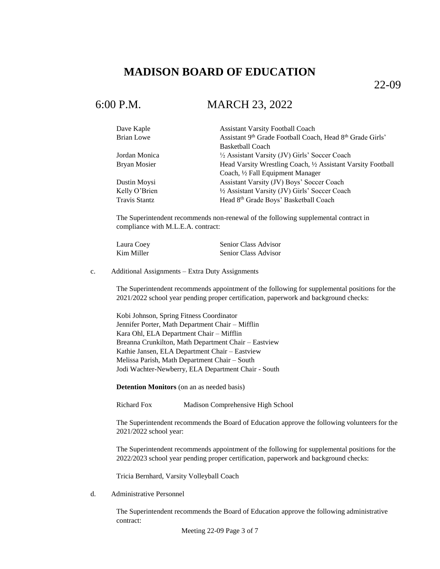22-09

### 6:00 P.M. MARCH 23, 2022

| Dave Kaple    | <b>Assistant Varsity Football Coach</b>                      |
|---------------|--------------------------------------------------------------|
| Brian Lowe    | Assistant 9th Grade Football Coach, Head 8th Grade Girls'    |
|               | <b>Basketball Coach</b>                                      |
| Jordan Monica | 1/2 Assistant Varsity (JV) Girls' Soccer Coach               |
| Bryan Mosier  | Head Varsity Wrestling Coach, 1/2 Assistant Varsity Football |
|               | Coach, 1/2 Fall Equipment Manager                            |
| Dustin Moysi  | Assistant Varsity (JV) Boys' Soccer Coach                    |
| Kelly O'Brien | 1/2 Assistant Varsity (JV) Girls' Soccer Coach               |
| Travis Stantz | Head 8th Grade Boys' Basketball Coach                        |

The Superintendent recommends non-renewal of the following supplemental contract in compliance with M.L.E.A. contract:

| Laura Coey | Senior Class Advisor |
|------------|----------------------|
| Kim Miller | Senior Class Advisor |

c. Additional Assignments – Extra Duty Assignments

The Superintendent recommends appointment of the following for supplemental positions for the 2021/2022 school year pending proper certification, paperwork and background checks:

Kobi Johnson, Spring Fitness Coordinator Jennifer Porter, Math Department Chair – Mifflin Kara Ohl, ELA Department Chair – Mifflin Breanna Crunkilton, Math Department Chair – Eastview Kathie Jansen, ELA Department Chair – Eastview Melissa Parish, Math Department Chair – South Jodi Wachter-Newberry, ELA Department Chair - South

**Detention Monitors** (on an as needed basis)

Richard Fox Madison Comprehensive High School

The Superintendent recommends the Board of Education approve the following volunteers for the 2021/2022 school year:

The Superintendent recommends appointment of the following for supplemental positions for the 2022/2023 school year pending proper certification, paperwork and background checks:

Tricia Bernhard, Varsity Volleyball Coach

d. Administrative Personnel

The Superintendent recommends the Board of Education approve the following administrative contract: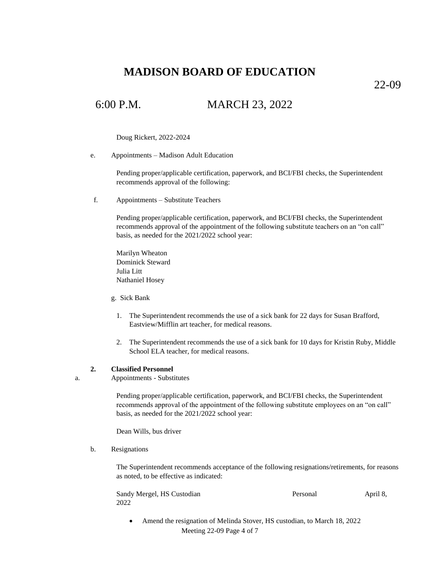22-09

## 6:00 P.M. MARCH 23, 2022

Doug Rickert, 2022-2024

e. Appointments – Madison Adult Education

Pending proper/applicable certification, paperwork, and BCI/FBI checks, the Superintendent recommends approval of the following:

f. Appointments – Substitute Teachers

Pending proper/applicable certification, paperwork, and BCI/FBI checks, the Superintendent recommends approval of the appointment of the following substitute teachers on an "on call" basis, as needed for the 2021/2022 school year:

Marilyn Wheaton Dominick Steward Julia Litt Nathaniel Hosey

- g. Sick Bank
	- 1. The Superintendent recommends the use of a sick bank for 22 days for Susan Brafford, Eastview/Mifflin art teacher, for medical reasons.
	- 2. The Superintendent recommends the use of a sick bank for 10 days for Kristin Ruby, Middle School ELA teacher, for medical reasons.

### **2. Classified Personnel**

a. Appointments - Substitutes

Pending proper/applicable certification, paperwork, and BCI/FBI checks, the Superintendent recommends approval of the appointment of the following substitute employees on an "on call" basis, as needed for the 2021/2022 school year:

Dean Wills, bus driver

#### b. Resignations

The Superintendent recommends acceptance of the following resignations/retirements, for reasons as noted, to be effective as indicated:

| Sandy Mergel, HS Custodian | Personal | April 8, |
|----------------------------|----------|----------|
| 2022                       |          |          |

Meeting 22-09 Page 4 of 7 • Amend the resignation of Melinda Stover, HS custodian, to March 18, 2022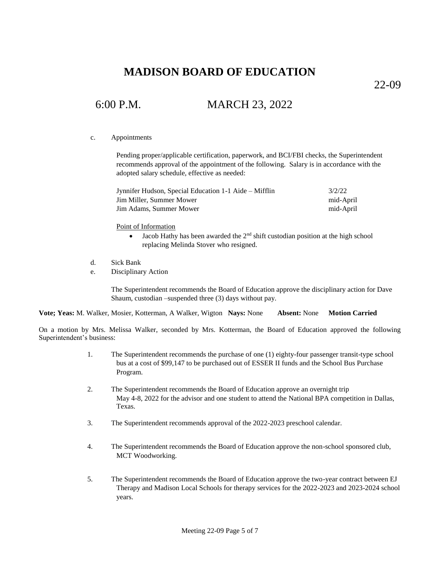22-09

# 6:00 P.M. MARCH 23, 2022

### c. Appointments

Pending proper/applicable certification, paperwork, and BCI/FBI checks, the Superintendent recommends approval of the appointment of the following. Salary is in accordance with the adopted salary schedule, effective as needed:

| Jynnifer Hudson, Special Education 1-1 Aide – Mifflin | 3/2/22    |
|-------------------------------------------------------|-----------|
| Jim Miller, Summer Mower                              | mid-April |
| Jim Adams, Summer Mower                               | mid-April |

Point of Information

- $\bullet$  Jacob Hathy has been awarded the  $2<sup>nd</sup>$  shift custodian position at the high school replacing Melinda Stover who resigned.
- d. Sick Bank
- e. Disciplinary Action

The Superintendent recommends the Board of Education approve the disciplinary action for Dave Shaum, custodian –suspended three (3) days without pay.

**Vote; Yeas:** M. Walker, Mosier, Kotterman, A Walker, Wigton **Nays:** None **Absent:** None **Motion Carried**

On a motion by Mrs. Melissa Walker, seconded by Mrs. Kotterman, the Board of Education approved the following Superintendent's business:

- 1. The Superintendent recommends the purchase of one (1) eighty-four passenger transit-type school bus at a cost of \$99,147 to be purchased out of ESSER II funds and the School Bus Purchase Program.
- 2. The Superintendent recommends the Board of Education approve an overnight trip May 4-8, 2022 for the advisor and one student to attend the National BPA competition in Dallas, Texas.
- 3. The Superintendent recommends approval of the 2022-2023 preschool calendar.
- 4. The Superintendent recommends the Board of Education approve the non-school sponsored club, MCT Woodworking.
- 5. The Superintendent recommends the Board of Education approve the two-year contract between EJ Therapy and Madison Local Schools for therapy services for the 2022-2023 and 2023-2024 school years.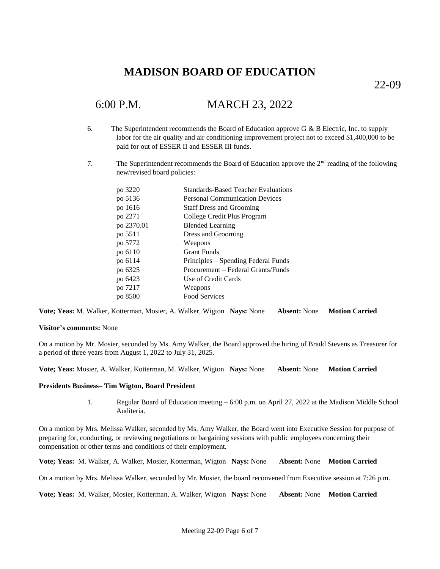22-09

# 6:00 P.M. MARCH 23, 2022

- 6. The Superintendent recommends the Board of Education approve G  $\&$  B Electric, Inc. to supply labor for the air quality and air conditioning improvement project not to exceed \$1,400,000 to be paid for out of ESSER II and ESSER III funds.
- 7. The Superintendent recommends the Board of Education approve the  $2<sup>nd</sup>$  reading of the following new/revised board policies:

| po 3220    | <b>Standards-Based Teacher Evaluations</b> |
|------------|--------------------------------------------|
| po 5136    | <b>Personal Communication Devices</b>      |
| po 1616    | <b>Staff Dress and Grooming</b>            |
| po 2271    | College Credit Plus Program                |
| po 2370.01 | <b>Blended Learning</b>                    |
| po 5511    | Dress and Grooming                         |
| po 5772    | Weapons                                    |
| po 6110    | <b>Grant Funds</b>                         |
| po 6114    | Principles – Spending Federal Funds        |
| po 6325    | Procurement – Federal Grants/Funds         |
| po 6423    | Use of Credit Cards                        |
| po 7217    | Weapons                                    |
| po 8500    | <b>Food Services</b>                       |
|            |                                            |

**Vote; Yeas:** M. Walker, Kotterman, Mosier, A. Walker, Wigton **Nays:** None **Absent:** None **Motion Carried**

### **Visitor's comments:** None

On a motion by Mr. Mosier, seconded by Ms. Amy Walker, the Board approved the hiring of Bradd Stevens as Treasurer for a period of three years from August 1, 2022 to July 31, 2025.

**Vote; Yeas:** Mosier, A. Walker, Kotterman, M. Walker, Wigton **Nays:** None **Absent:** None **Motion Carried**

### **Presidents Business– Tim Wigton, Board President**

1. Regular Board of Education meeting – 6:00 p.m. on April 27, 2022 at the Madison Middle School Auditeria.

On a motion by Mrs. Melissa Walker, seconded by Ms. Amy Walker, the Board went into Executive Session for purpose of preparing for, conducting, or reviewing negotiations or bargaining sessions with public employees concerning their compensation or other terms and conditions of their employment.

**Vote; Yeas:** M. Walker, A. Walker, Mosier, Kotterman, Wigton **Nays:** None **Absent:** None **Motion Carried**

On a motion by Mrs. Melissa Walker, seconded by Mr. Mosier, the board reconvened from Executive session at 7:26 p.m.

**Vote; Yeas:** M. Walker, Mosier, Kotterman, A. Walker, Wigton **Nays:** None **Absent:** None **Motion Carried**